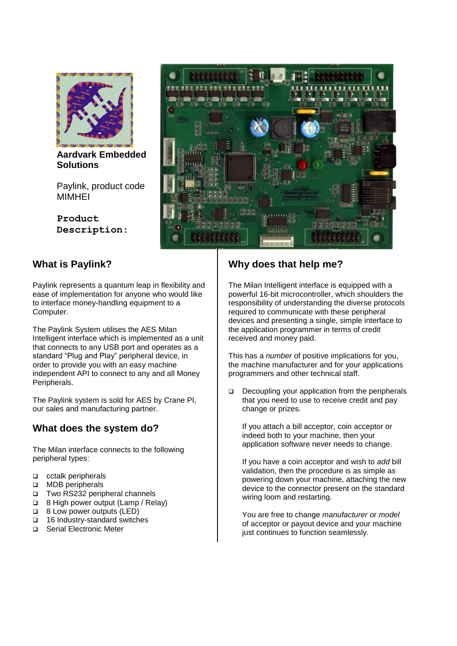

**Aardvark Embedded Solutions** 

Paylink, product code MIMHEI

**Product Description:**

# **What is Paylink?**

Paylink represents a quantum leap in flexibility and ease of implementation for anyone who would like to interface money-handling equipment to a Computer.

The Paylink System utilises the AES Milan Intelligent interface which is implemented as a unit that connects to any USB port and operates as a standard "Plug and Play" peripheral device, in order to provide you with an easy machine independent API to connect to any and all Money Peripherals.

The Paylink system is sold for AES by Crane PI, our sales and manufacturing partner.

#### **What does the system do?**

The Milan interface connects to the following peripheral types:

- □ cctalk peripherals
- □ MDB peripherals
- Two RS232 peripheral channels
- □ 8 High power output (Lamp / Relay)
- **B** 8 Low power outputs (LED)
- □ 16 Industry-standard switches
- □ Serial Electronic Meter



### **Why does that help me?**

The Milan Intelligent interface is equipped with a powerful 16-bit microcontroller, which shoulders the responsibility of understanding the diverse protocols required to communicate with these peripheral devices and presenting a single, simple interface to the application programmer in terms of credit received and money paid.

This has a *number* of positive implications for you, the machine manufacturer and for your applications programmers and other technical staff.

 $\Box$  Decoupling your application from the peripherals that you need to use to receive credit and pay change or prizes.

If you attach a bill acceptor, coin acceptor or indeed both to your machine, then your application software never needs to change.

If you have a coin acceptor and wish to *add* bill validation, then the procedure is as simple as powering down your machine, attaching the new device to the connector present on the standard wiring loom and restarting.

You are free to change *manufacturer* or *model* of acceptor or payout device and your machine just continues to function seamlessly.